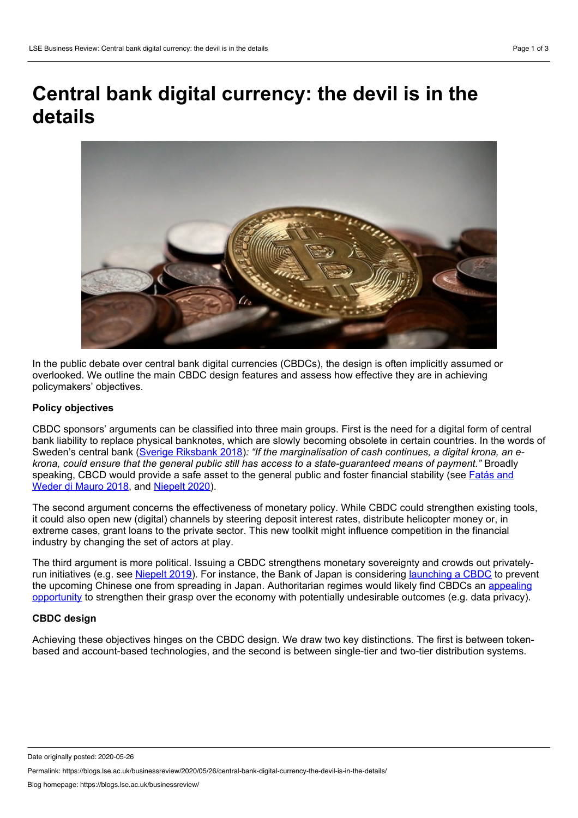# **Central bank digital currency: the devil is in the details**



In the public debate over central bank digital currencies (CBDCs), the design is often implicitly assumed or overlooked. We outline the main CBDC design features and assess how effective they are in achieving policymakers' objectives.

# **Policy objectives**

CBDC sponsors' arguments can be classified into three main groups. First is the need for a digital form of central bank liability to replace physical banknotes, which are slowly becoming obsolete in certain countries. In the words of Sweden's central bank (Sverige [Riksbank](https://www.riksbank.se/globalassets/media/rapporter/e-krona/2018/the-riksbanks-e-krona-project-report-2.pdf) 2018)*: "If the marginalisation of cash continues, a digital krona, an e krona, could ensure that the general public still has access to a state-guaranteed means of payment."* Broadly [speaking,](https://voxeu.org/article/cryptocurrencies-challenge-central-banks) CBCD would provide a safe asset to the general public and foster financial stability (see Fatás and Weder di Mauro 2018, and [Niepelt](https://voxeu.org/article/digital-money-and-central-bank-digital-currency-executive-summary) 2020).

The second argument concerns the effectiveness of monetary policy. While CBDC could strengthen existing tools, it could also open new (digital) channels by steering deposit interest rates, distribute helicopter money or, in extreme cases, grant loans to the private sector. This new toolkit might influence competition in the financial industry by changing the set of actors at play.

The third argument is more political. Issuing a CBDC strengthens monetary sovereignty and crowds out privatelyrun initiatives (e.g. see [Niepelt](https://voxeu.org/article/libra-paves-way-central-bank-digital-currency) 2019). For instance, the Bank of Japan is considering [launching](https://www.bitcoininsider.org/article/82342/japan-uneased-chinese-cbdc-plans-digital-yen-2-3-years) a CBDC to prevent the upcoming Chinese one from spreading in Japan. [Authoritarian](https://www.law.ox.ac.uk/business-law-blog/blog/2020/03/central-bank-digital-currency-and-payment-data) regimes would likely find CBDCs an appealing opportunity to strengthen their grasp over the economy with potentially undesirable outcomes (e.g. data privacy).

# **CBDC design**

Achieving these objectives hinges on the CBDC design. We draw two key distinctions. The first is between token based and account-based technologies, and the second is between single-tier and two-tier distribution systems.

Date originally posted: 2020-05-26

Permalink: https://blogs.lse.ac.uk/businessreview/2020/05/26/central-bank-digital-currency-the-devil-is-in-the-details/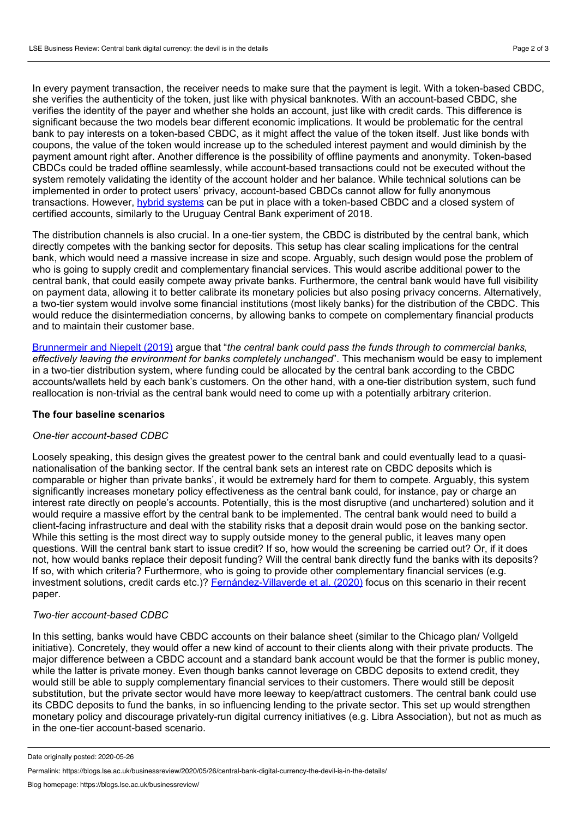In every payment transaction, the receiver needs to make sure that the payment is legit. With a token-based CBDC, she verifies the authenticity of the token, just like with physical banknotes. With an account-based CBDC, she verifies the identity of the payer and whether she holds an account, just like with credit cards. This difference is significant because the two models bear different economic implications. It would be problematic for the central bank to pay interests on a token-based CBDC, as it might affect the value of the token itself. Just like bonds with coupons, the value of the token would increase up to the scheduled interest payment and would diminish by the payment amount right after. Another difference is the possibility of offline payments and anonymity. Token-based CBDCs could be traded offline seamlessly, while account-based transactions could not be executed without the system remotely validating the identity of the account holder and her balance. While technical solutions can be implemented in order to protect users' privacy, account-based CBDCs cannot allow for fully anonymous transactions. However, hybrid [systems](https://www.bis.org/events/eopix_1810/licandro_pres.pdf) can be put in place with a token-based CBDC and a closed system of certified accounts, similarly to the Uruguay Central Bank experiment of 2018.

The distribution channels is also crucial. In a one-tier system, the CBDC is distributed by the central bank, which directly competes with the banking sector for deposits. This setup has clear scaling implications for the central bank, which would need a massive increase in size and scope. Arguably, such design would pose the problem of who is going to supply credit and complementary financial services. This would ascribe additional power to the central bank, that could easily compete away private banks. Furthermore, the central bank would have full visibility on payment data, allowing it to better calibrate its monetary policies but also posing privacy concerns. Alternatively, a two-tier system would involve some financial institutions (most likely banks) for the distribution of the CBDC. This would reduce the disintermediation concerns, by allowing banks to compete on complementary financial products and to maintain their customer base.

[Brunnermeir](https://collaborate.princeton.edu/en/publications/on-the-equivalence-of-private-and-public-money) and Niepelt (2019) argue that "*the central bank could pass the funds through to commercial banks, effectively leaving the environment for banks completely unchanged*". This mechanism would be easy to implement in a two-tier distribution system, where funding could be allocated by the central bank according to the CBDC accounts/wallets held by each bank's customers. On the other hand, with a one-tier distribution system, such fund reallocation is non-trivial as the central bank would need to come up with a potentially arbitrary criterion.

#### **The four baseline scenarios**

#### *One-tier account-based CDBC*

Loosely speaking, this design gives the greatest power to the central bank and could eventually lead to a quasi nationalisation of the banking sector. If the central bank sets an interest rate on CBDC deposits which is comparable or higher than private banks', it would be extremely hard for them to compete. Arguably, this system significantly increases monetary policy effectiveness as the central bank could, for instance, pay or charge an interest rate directly on people's accounts. Potentially, this is the most disruptive (and unchartered) solution and it would require a massive effort by the central bank to be implemented. The central bank would need to build a client-facing infrastructure and deal with the stability risks that a deposit drain would pose on the banking sector. While this setting is the most direct way to supply outside money to the general public, it leaves many open questions. Will the central bank start to issue credit? If so, how would the screening be carried out? Or, if it does not, how would banks replace their deposit funding? Will the central bank directly fund the banks with its deposits? If so, with which criteria? Furthermore, who is going to provide other complementary financial services (e.g. investment solutions, credit cards etc.)? [Fernández-Villaverde](https://voxeu.org/article/central-bank-digital-currency-central-banking-all) et al. (2020) focus on this scenario in their recent paper.

## *Two-tier account-based CDBC*

In this setting, banks would have CBDC accounts on their balance sheet (similar to the Chicago plan/ Vollgeld initiative). Concretely, they would offer a new kind of account to their clients along with their private products. The major difference between a CBDC account and a standard bank account would be that the former is public money, while the latter is private money. Even though banks cannot leverage on CBDC deposits to extend credit, they would still be able to supply complementary financial services to their customers. There would still be deposit substitution, but the private sector would have more leeway to keep/attract customers. The central bank could use its CBDC deposits to fund the banks, in so influencing lending to the private sector. This set up would strengthen monetary policy and discourage privately-run digital currency initiatives (e.g. Libra Association), but not as much as in the one-tier account-based scenario.

Date originally posted: 2020-05-26

Permalink: https://blogs.lse.ac.uk/businessreview/2020/05/26/central-bank-digital-currency-the-devil-is-in-the-details/